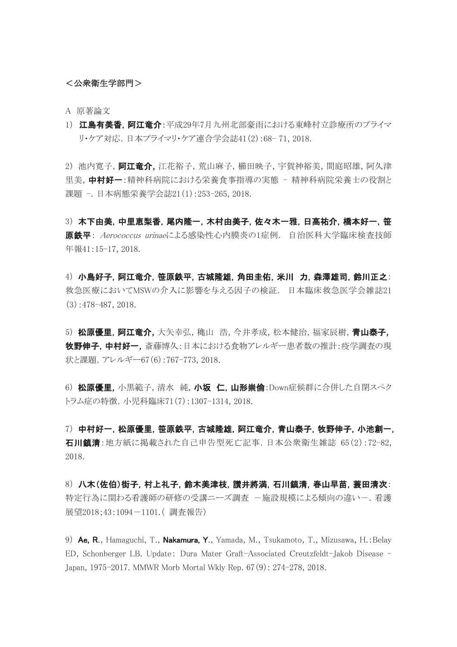## <公衆衛生学部門>

A 原著論文

1) 江島有美香,阿江竜介:平成29年7月九州北部豪雨における東峰村立診療所のプライマ リ・ケア対応.日本プライマリ・ケア連合学会誌41(2):68- 71, 2018.

2) 池内寛子, 阿江竜介, 江花裕子, 荒山麻子, 櫛田映子, 宇賀神裕美, 間庭昭雄, 阿久津 里美,中村好一:精神科病院における栄養食事指導の実態 - 精神科病院栄養士の役割と 課題 -. 日本病態栄養学会誌21(1):253-265, 2018.

3) 木下由美,中里恵梨香,尾内隆一,木村由美子,佐々木一雅,日高祐介,橋本好一,笹 原鉄平: Aerococcus urinaeによる感染性心内膜炎の1症例. 自治医科大学臨床検査技師 年報41:15-17, 2018.

4) 小島好子,阿江竜介,笹原鉄平,古城隆雄,角田圭佑,米川 力,森澤雄司,鈴川正之: 救急医療においてMSWの介入に影響を与える因子の検証. 日本臨床救急医学会雑誌21  $(3):478-487, 2018.$ 

5) 松原優里, 阿江竜介, 大矢幸弘, 穐山 浩, 今井孝成, 松本健治, 福家辰樹, 青山泰子, 牧野伸子,中村好一,斎藤博久:日本における食物アレルギー患者数の推計:疫学調査の現 状と課題.アレルギー67(6):767-773, 2018.

6) 松原優里,小黒範子,清水 純,小坂 仁,山形崇倫:Down症候群に合併した自閉スペク トラム症の特徴.小児科臨床71(7):1307-1314, 2018.

7) 中村好一,松原優里,笹原鉄平,古城隆雄,阿江竜介,青山泰子,牧野伸子,小池創一, 石川鎮清:地方紙に掲載された自己申告型死亡記事.日本公衆衛生雑誌 65(2):72-82, 2018.

8) 八木(佐伯)街子,村上礼子,鈴木美津枝,讃井將満,石川鎮清,春山早苗,蓑田清次: 特定行為に関わる看護師の研修の受講ニーズ調査 -施設規模による傾向の違い-.看護 展望2018;43:1094-1101.( 調査報告)

9) Ae, R., Hamaguchi, T., Nakamura, Y., Yamada, M., Tsukamoto, T., Mizusawa, H.:Belay ED, Schonberger LB. Update: Dura Mater Graft-Associated Creutzfeldt-Jakob Disease - Japan, 1975-2017. MMWR Morb Mortal Wkly Rep. 67(9): 274-278, 2018.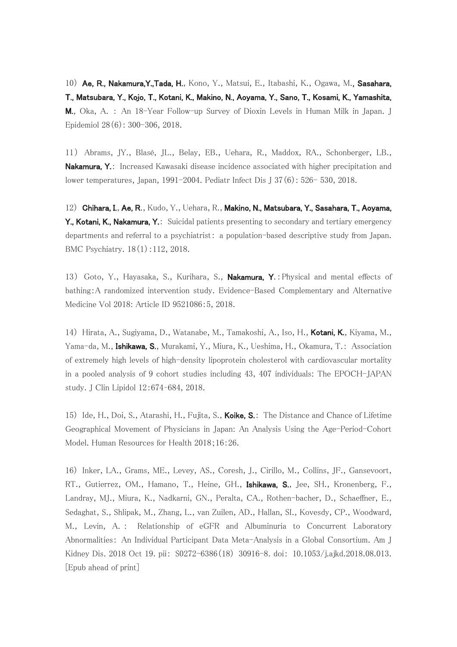10) Ae, R., Nakamura,Y.,Tada, H., Kono, Y., Matsui, E., Itabashi, K., Ogawa, M., Sasahara, T., Matsubara, Y., Kojo, T., Kotani, K., Makino, N., Aoyama, Y., Sano, T., Kosami, K., Yamashita, M., Oka, A. : An 18-Year Follow-up Survey of Dioxin Levels in Human Milk in Japan. J Epidemiol 28(6): 300-306, 2018.

11) Abrams, JY., Blasé, JL., Belay, EB., Uehara, R., Maddox, RA., Schonberger, LB., **Nakamura, Y.:** Increased Kawasaki disease incidence associated with higher precipitation and lower temperatures, Japan, 1991-2004. Pediatr Infect Dis J 37(6): 526- 530, 2018.

12) Chihara, I., Ae, R., Kudo, Y., Uehara, R., Makino, N., Matsubara, Y., Sasahara, T., Aoyama, Y., Kotani, K., Nakamura, Y.: Suicidal patients presenting to secondary and tertiary emergency departments and referral to a psychiatrist: a population-based descriptive study from Japan. BMC Psychiatry. 18(1):112, 2018.

13) Goto, Y., Hayasaka, S., Kurihara, S., Nakamura, Y.: Physical and mental effects of bathing:A randomized intervention study. Evidence-Based Complementary and Alternative Medicine Vol 2018: Article ID 9521086:5, 2018.

14) Hirata, A., Sugiyama, D., Watanabe, M., Tamakoshi, A., Iso, H., Kotani, K., Kiyama, M., Yama-da, M., Ishikawa, S., Murakami, Y., Miura, K., Ueshima, H., Okamura, T.: Association of extremely high levels of high-density lipoprotein cholesterol with cardiovascular mortality in a pooled analysis of 9 cohort studies including 43, 407 individuals: The EPOCH-JAPAN study. J Clin Lipidol 12:674–684, 2018.

15) Ide, H., Doi, S., Atarashi, H., Fujita, S., **Koike, S.**: The Distance and Chance of Lifetime Geographical Movement of Physicians in Japan: An Analysis Using the Age-Period-Cohort Model. Human Resources for Health 2018;16:26.

16) Inker, LA., Grams, ME., Levey, AS., Coresh, J., Cirillo, M., Collins, JF., Gansevoort, RT., Gutierrez, OM., Hamano, T., Heine, GH., **Ishikawa, S.**, Jee, SH., Kronenberg, F., Landray, MJ., Miura, K., Nadkarni, GN., Peralta, CA., Rothen-bacher, D., Schaeffner, E., Sedaghat, S., Shlipak, M., Zhang, L., van Zuilen, AD., Hallan, SI., Kovesdy, CP., Woodward, M., Levin, A. : Relationship of eGFR and Albuminuria to Concurrent Laboratory Abnormalities: An Individual Participant Data Meta-Analysis in a Global Consortium. Am J Kidney Dis. 2018 Oct 19. pii: S0272-6386(18) 30916-8. doi: 10.1053/j.ajkd.2018.08.013. [Epub ahead of print]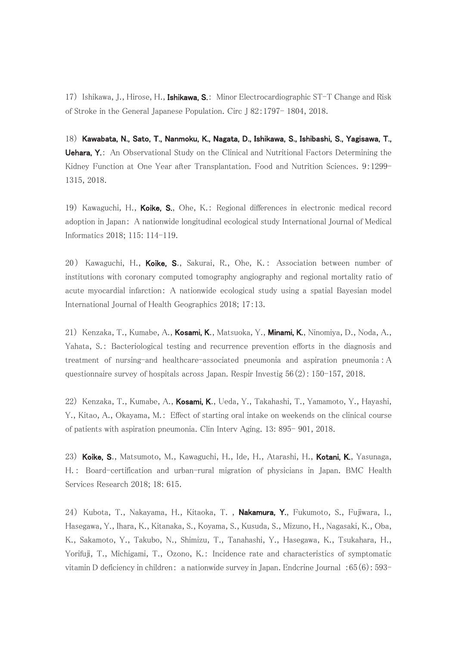17) Ishikawa, J., Hirose, H., Ishikawa, S.: Minor Electrocardiographic ST-T Change and Risk of Stroke in the General Japanese Population. Circ J 82:1797- 1804, 2018.

18) Kawabata, N., Sato, T., Nanmoku, K., Nagata, D., Ishikawa, S., Ishibashi, S., Yagisawa, T., **Uehara, Y.:** An Observational Study on the Clinical and Nutritional Factors Determining the Kidney Function at One Year after Transplantation. Food and Nutrition Sciences. 9:1299-1315, 2018.

19) Kawaguchi, H., Koike, S., Ohe, K.: Regional differences in electronic medical record adoption in Japan: A nationwide longitudinal ecological study International Journal of Medical Informatics 2018; 115: 114-119.

20) Kawaguchi, H., Koike, S., Sakurai, R., Ohe, K.: Association between number of institutions with coronary computed tomography angiography and regional mortality ratio of acute myocardial infarction: A nationwide ecological study using a spatial Bayesian model International Journal of Health Geographics 2018; 17:13.

21) Kenzaka, T., Kumabe, A., Kosami, K., Matsuoka, Y., Minami, K., Ninomiya, D., Noda, A., Yahata, S.: Bacteriological testing and recurrence prevention efforts in the diagnosis and treatment of nursing-and healthcare-associated pneumonia and aspiration pneumonia :A questionnaire survey of hospitals across Japan. Respir Investig 56(2): 150-157, 2018.

22) Kenzaka, T., Kumabe, A., Kosami, K., Ueda, Y., Takahashi, T., Yamamoto, Y., Hayashi, Y., Kitao, A., Okayama, M.: Effect of starting oral intake on weekends on the clinical course of patients with aspiration pneumonia. Clin Interv Aging. 13: 895- 901, 2018.

23) Koike, S., Matsumoto, M., Kawaguchi, H., Ide, H., Atarashi, H., Kotani, K., Yasunaga, H. : Board-certification and urban-rural migration of physicians in Japan. BMC Health Services Research 2018; 18: 615.

24) Kubota, T., Nakayama, H., Kitaoka, T., **Nakamura, Y.**, Fukumoto, S., Fujiwara, I., Hasegawa, Y., Ihara, K., Kitanaka, S., Koyama, S., Kusuda, S., Mizuno, H., Nagasaki, K., Oba, K., Sakamoto, Y., Takubo, N., Shimizu, T., Tanahashi, Y., Hasegawa, K., Tsukahara, H., Yorifuji, T., Michigami, T., Ozono, K.: Incidence rate and characteristics of symptomatic vitamin D deficiency in children: a nationwide survey in Japan. Endcrine Journal :65(6): 593-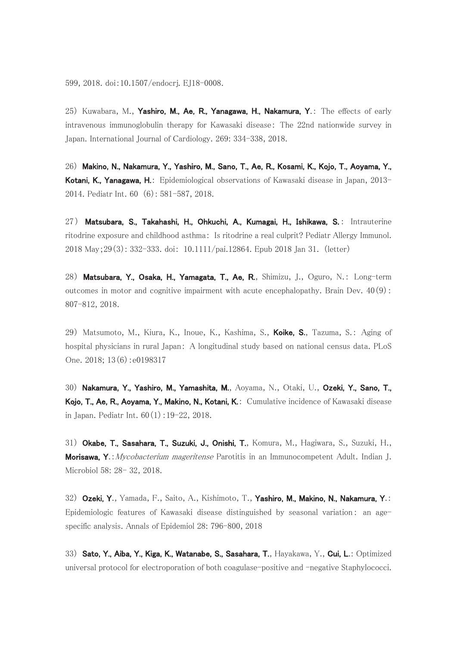25) Kuwabara, M., Yashiro, M., Ae, R., Yanagawa, H., Nakamura, Y.: The effects of early intravenous immunoglobulin therapy for Kawasaki disease: The 22nd nationwide survey in Japan. International Journal of Cardiology. 269: 334-338, 2018.

26) Makino, N., Nakamura, Y., Yashiro, M., Sano, T., Ae, R., Kosami, K., Kojo, T., Aoyama, Y., Kotani, K., Yanagawa, H.: Epidemiological observations of Kawasaki disease in Japan, 2013-2014. Pediatr Int. 60 (6): 581-587, 2018.

27) Matsubara, S., Takahashi, H., Ohkuchi, A., Kumagai, H., Ishikawa, S.: Intrauterine ritodrine exposure and childhood asthma: Is ritodrine a real culprit? Pediatr Allergy Immunol. 2018 May;29(3): 332-333. doi: 10.1111/pai.12864. Epub 2018 Jan 31. (letter)

28) Matsubara, Y., Osaka, H., Yamagata, T., Ae, R., Shimizu, J., Oguro, N.: Long-term outcomes in motor and cognitive impairment with acute encephalopathy. Brain Dev.  $40(9)$ : 807-812, 2018.

29) Matsumoto, M., Kiura, K., Inoue, K., Kashima, S., Koike, S., Tazuma, S.: Aging of hospital physicians in rural Japan: A longitudinal study based on national census data. PLoS One. 2018; 13(6):e0198317

30) Nakamura, Y., Yashiro, M., Yamashita, M., Aoyama, N., Otaki, U., Ozeki, Y., Sano, T., Kojo, T., Ae, R., Aoyama, Y., Makino, N., Kotani, K.: Cumulative incidence of Kawasaki disease in Japan. Pediatr Int. 60(1):19-22, 2018.

31) Okabe, T., Sasahara, T., Suzuki, J., Onishi, T., Komura, M., Hagiwara, S., Suzuki, H., Morisawa, Y.: Mycobacterium mageritense Parotitis in an Immunocompetent Adult. Indian J. Microbiol 58: 28- 32, 2018.

32) Ozeki, Y., Yamada, F., Saito, A., Kishimoto, T., Yashiro, M., Makino, N., Nakamura, Y.: Epidemiologic features of Kawasaki disease distinguished by seasonal variation: an agespecific analysis. Annals of Epidemiol 28: 796-800, 2018

33) Sato, Y., Aiba, Y., Kiga, K., Watanabe, S., Sasahara, T., Hayakawa, Y., Cui, L.: Optimized universal protocol for electroporation of both coagulase-positive and -negative Staphylococci.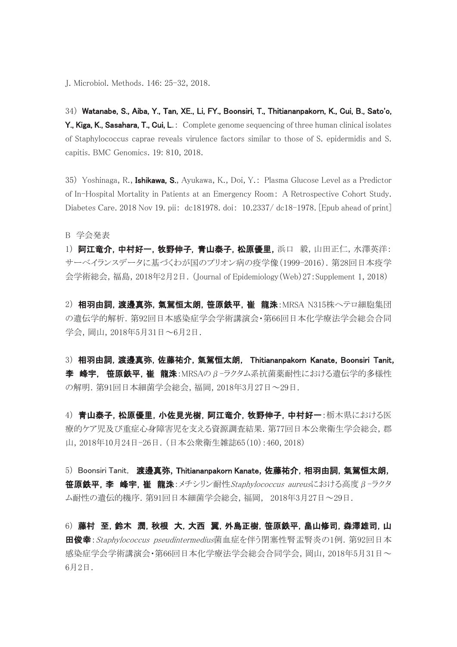J. Microbiol. Methods. 146: 25-32, 2018.

34) Watanabe, S., Aiba, Y., Tan, XE., Li, FY., Boonsiri, T., Thitiananpakorn, K., Cui, B., Sato'o, Y., Kiga, K., Sasahara, T., Cui, L.: Complete genome sequencing of three human clinical isolates of Staphylococcus caprae reveals virulence factors similar to those of S. epidermidis and S. capitis. BMC Genomics. 19: 810, 2018.

35) Yoshinaga, R., Ishikawa, S., Ayukawa, K., Doi, Y.: Plasma Glucose Level as a Predictor of In-Hospital Mortality in Patients at an Emergency Room: A Retrospective Cohort Study. Diabetes Care. 2018 Nov 19. pii: dc181978. doi: 10.2337/ dc18-1978. [Epub ahead of print]

B 学会発表

1) 阿江竜介,中村好一,牧野伸子,青山泰子,松原優里,浜口 毅,山田正仁,水澤英洋: サーベイランスデータに基づくわが国のプリオン病の疫学像(1999-2016).第28回日本疫学 会学術総会,福島,2018年2月2日.(Journal of Epidemiology(Web)27:Supplement 1, 2018)

2) 相羽由詞, 渡邊真弥, 氣駕恒太朗, 笹原鉄平, 崔 龍洙: MRSA N315株ヘテロ細胞集団 の遺伝学的解析.第92回日本感染症学会学術講演会・第66回日本化学療法学会総会合同 学会,岡山,2018年5月31日~6月2日.

3) 相羽由詞,渡邊真弥,佐藤祐介,氣駕恒太朗, Thitiananpakorn Kanate,Boonsiri Tanit, 李 峰宇, 笹原鉄平,崔 龍洙: MRSAのβ-ラクタム系抗菌薬耐性における遺伝学的多様性 の解明.第91回日本細菌学会総会,福岡,2018年3月27日~29日.

4) 青山泰子, 松原優里, 小佐見光樹, 阿江竜介, 牧野伸子, 中村好一:栃木県における医 療的ケア児及び重症心身障害児を支える資源調査結果. 第77回日本公衆衛生学会総会, 郡 山,2018年10月24日-26日.(日本公衆衛生雑誌65(10):460, 2018)

5) Boonsiri Tanit, 渡邊真弥, Thitiananpakorn Kanate, 佐藤祐介, 相羽由詞, 氣駕恒太朗, 笹原鉄平, 李 峰宇, 崔 龍洙:メチシリン耐性Staphylococcus aureusにおける高度β-ラクタ ム耐性の遺伝的機序.第91回日本細菌学会総会,福岡, 2018年3月27日~29日.

6) 藤村 至,鈴木 潤,秋根 大,大西 翼,外島正樹,笹原鉄平,畠山修司,森澤雄司,山 **田俊幸**:Staphylococcus pseudintermedius菌血症を伴う閉塞性腎盂腎炎の1例. 第92回日本 感染症学会学術講演会・第66回日本化学療法学会総会合同学会,岡山,2018年5月31日~ 6月2日.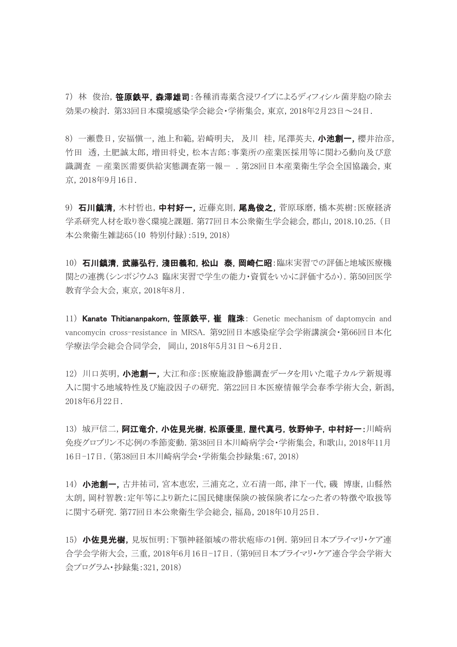7) 林 俊治, 笹原鉄平, 森澤雄司:各種消毒薬含浸ワイプによるディフィシル菌芽胞の除去 効果の検討. 第33回日本環境感染学会総会・学術集会,東京,2018年2月23日~24日.

8) 一瀬豊日, 安福愼一, 池上和範, 岩崎明夫, 及川 桂, 尾澤英夫, 小池創一, 櫻井治彦, 竹田 透,土肥誠太郎,増田将史,松本吉郎:事業所の産業医採用等に関わる動向及び意 識調査 -産業医需要供給実態調査第一報-.第28回日本産業衛生学会全国協議会,東 京,2018年9月16日.

9) 石川鎮清, 木村哲也, 中村好一, 近藤克則, 尾島俊之, 菅原琢磨, 橋本英樹:医療経済 学系研究人材を取り巻く環境と課題.第77回日本公衆衛生学会総会,郡山,2018.10.25.(日 本公衆衛生雑誌65(10 特別付録):519, 2018)

10) 石川鎮清,武藤弘行,淺田義和,松山 泰,岡崎仁昭:臨床実習での評価と地域医療機 関との連携(シンポジウム3 臨床実習で学生の能力・資質をいかに評価するか). 第50回医学 教育学会大会,東京,2018年8月.

11) Kanate Thitiananpakorn, 笹原鉄平, 崔 龍洙: Genetic mechanism of daptomycin and vancomycin cross-resistance in MRSA. 第92回日本感染症学会学術講演会・第66回日本化 学療法学会総会合同学会, 岡山,2018年5月31日~6月2日.

12) 川口英明, 小池創一, 大江和彦:医療施設静態調査データを用いた電子カルテ新規導 入に関する地域特性及び施設因子の研究. 第22回日本医療情報学会春季学術大会,新潟, 2018年6月22日.

13) 城戸信二, 阿江竜介, 小佐見光樹, 松原優里, 屋代真弓, 牧野伸子, 中村好一:川崎病 免疫グロブリン不応例の季節変動.第38回日本川崎病学会・学術集会,和歌山,2018年11月 16日-17日.(第38回日本川崎病学会・学術集会抄録集:67, 2018)

14) 小池創一,古井祐司,宮本恵宏,三浦克之,立石清一郎,津下一代,磯博康,山縣然 太朗,岡村智教:定年等により新たに国民健康保険の被保険者になった者の特徴や取扱等 に関する研究.第77回日本公衆衛生学会総会,福島,2018年10月25日.

15) 小佐見光樹,見坂恒明:下顎神経領域の帯状疱疹の1例. 第9回日本プライマリ・ケア連 合学会学術大会,三重,2018年6月16日-17日.(第9回日本プライマリ・ケア連合学会学術大 会プログラム・抄録集:321, 2018)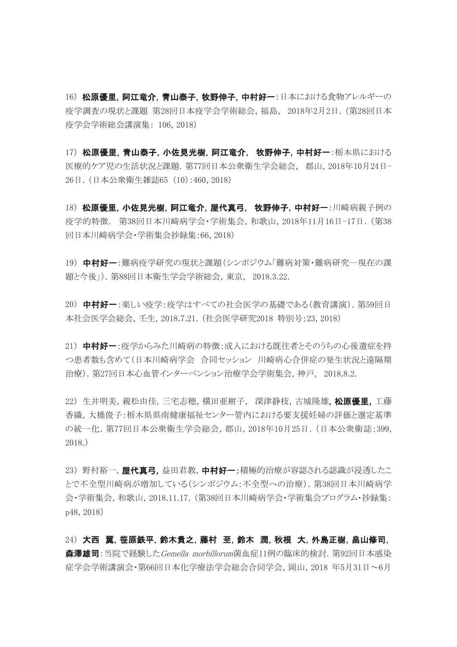16) 松原優里, 阿江竜介, 青山泰子, 牧野伸子, 中村好一:日本における食物アレルギーの 疫学調査の現状と課題 第28回日本疫学会学術総会,福島, 2018年2月2日.(第28回日本 疫学会学術総会講演集: 106,2018)

17) 松原優里,青山泰子,小佐見光樹,阿江竜介, 牧野伸子,中村好一:栃木県における 医療的ケア児の生活状況と課題.第77回日本公衆衛生学会総会, 郡山,2018年10月24日-26日.(日本公衆衛生雑誌65 (10):460, 2018)

18) 松原優里,小佐見光樹,阿江竜介,屋代真弓, 牧野伸子,中村好一:川崎病親子例の 疫学的特徴. 第38回日本川崎病学会・学術集会,和歌山,2018年11月16日-17日.(第38 回日本川崎病学会・学術集会抄録集:66, 2018)

19) 中村好一:難病疫学研究の現状と課題(シンポジウム「難病対策・難病研究―現在の課 題と今後」).第88回日本衛生学会学術総会,東京, 2018.3.22.

20) 中村好一:楽しい疫学:疫学はすべての社会医学の基礎である(教育講演). 第59回日 本社会医学会総会,壬生,2018.7.21.(社会医学研究2018 特別号:23, 2018)

21) 中村好一:疫学からみた川崎病の特徴:成人における既往者とそのうちの心後遺症を持 つ患者数も含めて(日本川崎病学会 合同セッション 川崎病心合併症の発生状況と遠隔期 治療).第27回日本心血管インターベンション治療学会学術集会,神戸, 2018.8.2.

22) 生井明美,親松由佳,三宅志穂,横田亜樹子, 深津静枝,古城隆雄. 松原優里,工藤 香織,大橋俊子:栃木県県南健康福祉センター管内における要支援妊婦の評価と選定基準 の統一化.第77回日本公衆衛生学会総会,郡山,2018年10月25日.(日本公衆衛誌:399, 2018.)

23)野村裕一,屋代真弓,益田君教,中村好一:積極的治療が容認される認識が浸透したこ とで不全型川崎病が増加している(シンポジウム:不全型への治療).第38回日本川崎病学 会・学術集会,和歌山,2018.11.17.(第38回日本川崎病学会・学術集会プログラム・抄録集: p48, 2018)

24) 大西 翼,笹原鉄平,鈴木貴之,藤村 至,鈴木 潤,秋根 大,外島正樹,畠山修司, 森澤雄司:当院で経験した*Gemella morbillorum*菌血症11例の臨床的検討. 第92回日本感染 症学会学術講演会・第66回日本化学療法学会総会合同学会,岡山,2018 年5月31日~6月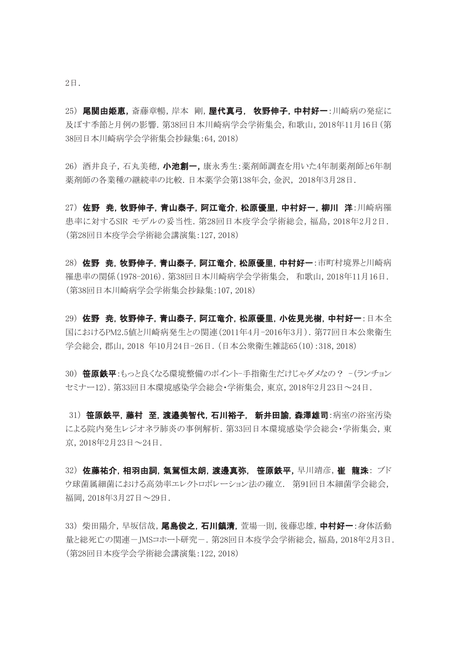2日.

25) 尾関由姫恵,斎藤章暢,岸本 剛,屋代真弓, 牧野伸子,中村好一:川崎病の発症に 及ぼす季節と月例の影響.第38回日本川崎病学会学術集会,和歌山,2018年11月16日(第 38回日本川崎病学会学術集会抄録集:64, 2018)

26) 酒井良子,石丸美穂, 小池創一, 康永秀生:薬剤師調査を用いた4年制薬剤師と6年制 薬剤師の各業種の継続率の比較.日本薬学会第138年会,金沢, 2018年3月28日.

27) 佐野 尭,牧野伸子,青山泰子,阿江竜介,松原優里,中村好一,柳川 洋:川崎病罹 患率に対するSIR モデルの妥当性.第28回日本疫学会学術総会,福島,2018年2月2日. (第28回日本疫学会学術総会講演集:127, 2018)

28) 佐野 尭,牧野伸子,青山泰子,阿江竜介,松原優里,中村好一:市町村境界と川崎病 罹患率の関係(1978-2016).第38回日本川崎病学会学術集会, 和歌山,2018年11月16日. (第38回日本川崎病学会学術集会抄録集:107, 2018)

29) 佐野 尭,牧野伸子,青山泰子,阿江竜介,松原優里,小佐見光樹,中村好一:日本全 国におけるPM2.5値と川崎病発生との関連(2011年4月-2016年3月).第77回日本公衆衛生 学会総会,郡山,2018 年10月24日-26日.(日本公衆衛生雑誌65(10):318, 2018)

30) 笹原鉄平:もっと良くなる環境整備のポイント-手指衛生だけじゃダメなの? -(ランチョン セミナー12).第33回日本環境感染学会総会・学術集会,東京,2018年2月23日~24日.

31) 笹原鉄平, 藤村 至, 渡邉美智代, 石川裕子, 新井田諭, 森澤雄司:病室の浴室汚染 による院内発生レジオネラ肺炎の事例解析.第33回日本環境感染学会総会・学術集会,東 京,2018年2月23日~24日.

32) 佐藤祐介,相羽由詞,氣駕恒太朗,渡邊真弥, 笹原鉄平,早川靖彦,崔 龍洙: ブド ウ球菌属細菌における高効率エレクトロポレーション法の確立. 第91回日本細菌学会総会, 福岡,2018年3月27日~29日.

33) 柴田陽介,早坂信哉,尾島俊之,石川鎮清,菅場一則,後藤忠雄,中村好一:身体活動 量と総死亡の関連ーJMSコホート研究ー. 第28回日本疫学会学術総会,福島, 2018年2月3日. (第28回日本疫学会学術総会講演集:122, 2018)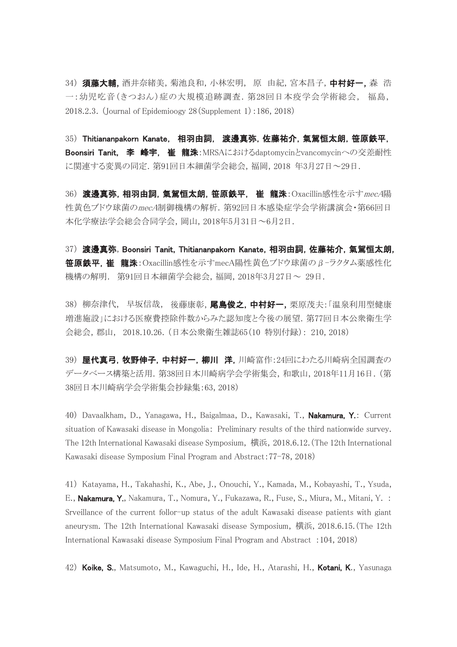34) **須藤大輔**,酒井奈緒美,菊池良和,小林宏明, 原 由紀,宮本昌子,中村好一,森 浩 一:幼児吃音(きつおん)症の大規模追跡調査.第28回日本疫学会学術総会, 福島, 2018.2.3.(Journal of Epidemioogy 28(Supplement 1):186, 2018)

35) Thitiananpakorn Kanate, 相羽由詞, 渡邊真弥,佐藤祐介,氣駕恒太朗,笹原鉄平, Boonsiri Tanit, 李 峰宇, 崔 龍洙:MRSAにおけるdaptomycinとvancomycinへの交差耐性 に関連する変異の同定.第91回日本細菌学会総会,福岡,2018 年3月27日~29日.

36) 渡邊真弥,相羽由詞,氣駕恒太朗,笹原鉄平, 崔 龍洙: Oxacillin感性を示すmecA陽 性黄色ブドウ球菌のmecA制御機構の解析.第92回日本感染症学会学術講演会・第66回日 本化学療法学会総会合同学会,岡山,2018年5月31日~6月2日.

37) 渡邊真弥,Boonsiri Tanit, Thitiananpakorn Kanate,相羽由詞,佐藤祐介,氣駕恒太朗, 笹原鉄平,崔 龍洙:Oxacillin感性を示すmecA陽性黄色ブドウ球菌のβ-ラクタム薬感性化 機構の解明. 第91回日本細菌学会総会,福岡,2018年3月27日~ 29日.

38) 柳奈津代,早坂信哉,後藤康彰, 尾島俊之, 中村好一, 栗原茂夫: 「温泉利用型健康 増進施設」における医療費控除件数からみた認知度と今後の展望.第77回日本公衆衛生学 会総会,郡山, 2018.10.26.(日本公衆衛生雑誌65(10 特別付録): 210, 2018)

39) 屋代真弓,牧野伸子,中村好一,柳川 洋,川崎富作:24回にわたる川崎病全国調査の データベース構築と活用.第38回日本川崎病学会学術集会,和歌山,2018年11月16日.(第 38回日本川崎病学会学術集会抄録集:63, 2018)

40) Davaalkham, D., Yanagawa, H., Baigalmaa, D., Kawasaki, T., Nakamura, Y.: Current situation of Kawasaki disease in Mongolia: Preliminary results of the third nationwide survey. The 12th International Kawasaki disease Symposium, 横浜,2018.6.12.(The 12th International Kawasaki disease Symposium Final Program and Abstract:77-78, 2018)

41) Katayama, H., Takahashi, K., Abe, J., Onouchi, Y., Kamada, M., Kobayashi, T., Ysuda, E., **Nakamura, Y.**, Nakamura, T., Nomura, Y., Fukazawa, R., Fuse, S., Miura, M., Mitani, Y. : Srveillance of the current follor-up status of the adult Kawasaki disease patients with giant aneurysm. The 12th International Kawasaki disease Symposium, 横浜,2018.6.15.(The 12th International Kawasaki disease Symposium Final Program and Abstract :104, 2018)

42) Koike, S., Matsumoto, M., Kawaguchi, H., Ide, H., Atarashi, H., Kotani, K., Yasunaga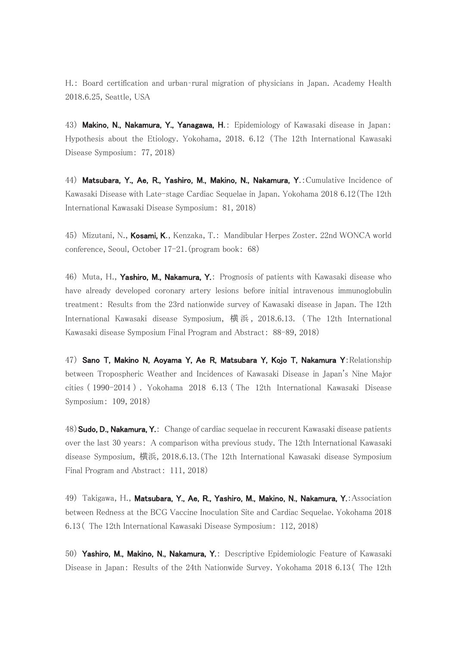H.: Board certification and urban–rural migration of physicians in Japan. Academy Health 2018.6.25, Seattle, USA

43) Makino, N., Nakamura, Y., Yanagawa, H.: Epidemiology of Kawasaki disease in Japan: Hypothesis about the Etiology. Yokohama, 2018. 6.12 (The 12th International Kawasaki Disease Symposium: 77, 2018)

44) Matsubara, Y., Ae, R., Yashiro, M., Makino, N., Nakamura, Y.: Cumulative Incidence of Kawasaki Disease with Late-stage Cardiac Sequelae in Japan. Yokohama 2018 6.12(The 12th International Kawasaki Disease Symposium: 81, 2018)

45) Mizutani, N., Kosami, K., Kenzaka, T.: Mandibular Herpes Zoster. 22nd WONCA world conference, Seoul, October 17-21.(program book: 68)

46) Muta, H., Yashiro, M., Nakamura, Y.: Prognosis of patients with Kawasaki disease who have already developed coronary artery lesions before initial intravenous immunoglobulin treatment: Results from the 23rd nationwide survey of Kawasaki disease in Japan. The 12th International Kawasaki disease Symposium, 横浜, 2018.6.13. ( The 12th International Kawasaki disease Symposium Final Program and Abstract: 88-89, 2018)

47) Sano T, Makino N, Aoyama Y, Ae R, Matsubara Y, Kojo T, Nakamura Y: Relationship between Tropospheric Weather and Incidences of Kawasaki Disease in Japan's Nine Major cities ( 1990-2014 ) . Yokohama 2018 6.13 ( The 12th International Kawasaki Disease Symposium: 109, 2018)

48) Sudo, D., Nakamura, Y.: Change of cardiac sequelae in reccurent Kawasaki disease patients over the last 30 years: A comparison witha previous study. The 12th International Kawasaki disease Symposium, 横浜,2018.6.13.(The 12th International Kawasaki disease Symposium Final Program and Abstract: 111, 2018)

49) Takigawa, H., Matsubara, Y., Ae, R., Yashiro, M., Makino, N., Nakamura, Y.: Association between Redness at the BCG Vaccine Inoculation Site and Cardiac Sequelae. Yokohama 2018 6.13( The 12th International Kawasaki Disease Symposium: 112, 2018)

50) Yashiro, M., Makino, N., Nakamura, Y.: Descriptive Epidemiologic Feature of Kawasaki Disease in Japan: Results of the 24th Nationwide Survey. Yokohama 2018 6.13( The 12th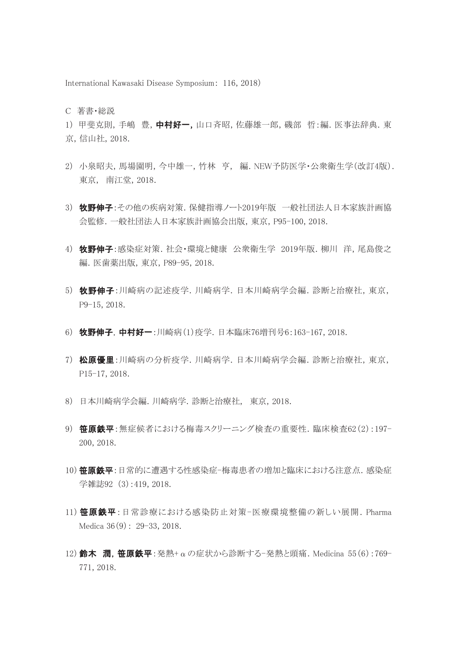International Kawasaki Disease Symposium: 116, 2018)

C 著書・総説

1) 甲斐克則, 手嶋 豊, 中村好一, 山口斉昭, 佐藤雄一郎, 磯部 哲:編. 医事法辞典. 東 京,信山社,2018.

- 2) 小泉昭夫,馬場園明,今中雄一,竹林 亨, 編.NEW予防医学・公衆衛生学(改訂4版). 東京, 南江堂,2018.
- 3) 牧野伸子:その他の疾病対策.保健指導ノート2019年版 一般社団法人日本家族計画協 会監修.一般社団法人日本家族計画協会出版,東京,P95-100, 2018.
- 4) 牧野伸子:感染症対策.社会・環境と健康 公衆衛生学 2019年版.柳川 洋,尾島俊之 編.医歯薬出版,東京,P89-95,2018.
- 5) 牧野伸子:川崎病の記述疫学.川崎病学.日本川崎病学会編.診断と治療社,東京, P9-15, 2018.
- 6) 牧野伸子,中村好一:川崎病(1)疫学. 日本臨床76増刊号6:163-167, 2018.
- 7) 松原優里:川崎病の分析疫学.川崎病学.日本川崎病学会編.診断と治療社,東京, P15-17, 2018.
- 8) 日本川崎病学会編.川崎病学.診断と治療社, 東京,2018.
- 9) 笹原鉄平: 無症候者における梅毒スクリーニング検査の重要性. 臨床検査62(2):197-200, 2018.
- 10) **笹原鉄平**:日常的に遭遇する性感染症-梅毒患者の増加と臨床における注意点. 感染症 学雑誌92 (3):419, 2018.
- 11) 笹原鉄平:日常診療における感染防止対策-医療環境整備の新しい展開. Pharma Medica 36(9): 29-33, 2018.
- 12) 鈴木 潤. 笹原鉄平:発熱+αの症状から診断する-発熱と頭痛. Medicina 55(6):769-771, 2018.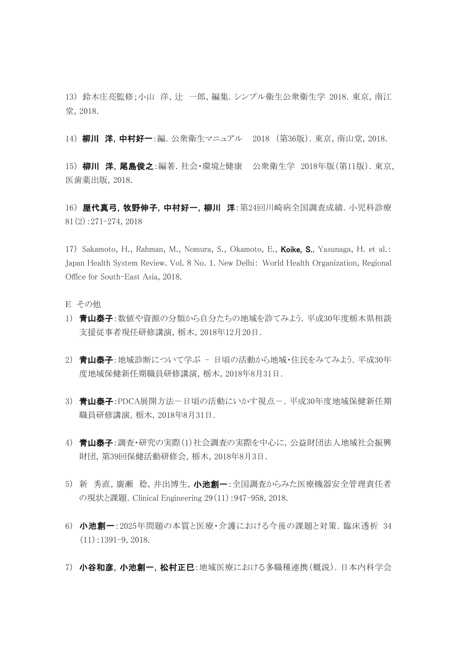13) 鈴木庄亮監修;小山 洋,辻 一郎,編集.シンプル衛生公衆衛生学 2018.東京,南江 堂,2018.

14) 柳川 洋, 中村好一:編. 公衆衛生マニュアル 2018 (第36版). 東京, 南山堂, 2018.

15) 柳川 洋,尾島俊之:編著.社会・環境と健康 公衆衛生学 2018年版(第11版). 東京, 医歯薬出版,2018.

16) 屋代真弓,牧野伸子,中村好一,柳川 洋:第24回川崎病全国調査成績. 小児科診療 81(2):271-274, 2018

17) Sakamoto, H., Rahman, M., Nomura, S., Okamoto, E., **Koike, S.**, Yasunaga, H. et al.: Japan Health System Review. Vol. 8 No. 1. New Delhi: World Health Organization, Regional Office for South-East Asia, 2018.

- E その他
- 1) 青山泰子:数値や資源の分類から自分たちの地域を診てみよう. 平成30年度栃木県相談 支援従事者現任研修講演,栃木,2018年12月20日.
- 2) 青山泰子:地域診断について学ぶ 日頃の活動から地域・住民をみてみよう.平成30年 度地域保健新任期職員研修講演,栃木,2018年8月31日.
- 3) 青山泰子: PDCA展開方法-日頃の活動にいかす視点-.平成30年度地域保健新任期 職員研修講演,栃木,2018年8月31日.
- 4) 青山泰子:調査・研究の実際(1)社会調査の実際を中心に,公益財団法人地域社会振興 財団,第39回保健活動研修会,栃木,2018年8月3日.
- 5) 新 秀直,廣瀬 稔,井出博生, 小池創一:全国調査からみた医療機器安全管理責任者 の現状と課題.Clinical Engineering 29(11):947-958, 2018.
- 6) 小池創一:2025年問題の本質と医療・介護における今後の課題と対策.臨床透析 34  $(11):1391-9, 2018.$
- 7) 小谷和彦,小池創一,松村正巳:地域医療における多職種連携(概説).日本内科学会